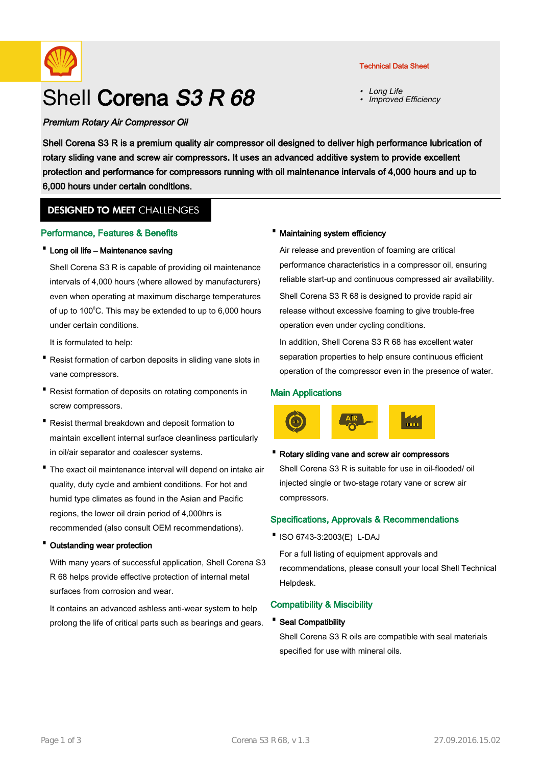

# Shell Corena S3 R 68

## Premium Rotary Air Compressor Oil

• Long Life •Improved Efficiency

Shell Corena S3 R is a premium quality air compressor oil designed to deliver high performance lubrication of rotary sliding vane and screw air compressors. It uses an advanced additive system to provide excellent protection and performance for compressors running with oil maintenance intervals of 4,000 hours and up to 6,000 hours under certain conditions.

# **DESIGNED TO MEET CHALLENGES**

## Performance, Features & Benefits

## · Long oil life – Maintenance saving

Shell Corena S3 R is capable of providing oil maintenance intervals of 4,000 hours (where allowed by manufacturers) even when operating at maximum discharge temperatures of up to 100 $\degree$ C. This may be extended to up to 6,000 hours under certain conditions.

It is formulated to help:

- Resist formation of carbon deposits in sliding vane slots in vane compressors.
- Resist formation of deposits on rotating components in screw compressors.
- Resist thermal breakdown and deposit formation to maintain excellent internal surface cleanliness particularly in oil/air separator and coalescer systems.
- The exact oil maintenance interval will depend on intake air quality, duty cycle and ambient conditions. For hot and humid type climates as found in the Asian and Pacific regions, the lower oil drain period of 4,000hrs is recommended (also consult OEM recommendations).

#### · Outstanding wear protection

With many years of successful application, Shell Corena S3 R 68 helps provide effective protection of internal metal surfaces from corrosion and wear.

It contains an advanced ashless anti-wear system to help prolong the life of critical parts such as bearings and gears.

## · Maintaining system efficiency

Air release and prevention of foaming are critical performance characteristics in a compressor oil, ensuring reliable start-up and continuous compressed air availability. Shell Corena S3 R 68 is designed to provide rapid air

release without excessive foaming to give trouble-free operation even under cycling conditions.

In addition, Shell Corena S3 R 68 has excellent water separation properties to help ensure continuous efficient operation of the compressor even in the presence of water.

## Main Applications



# · Rotary sliding vane and screw air compressors Shell Corena S3 R is suitable for use in oil-flooded/ oil injected single or two-stage rotary vane or screw air compressors.

## Specifications, Approvals & Recommendations

·ISO 6743-3:2003(E) L-DAJ

For a full listing of equipment approvals and recommendations, please consult your local Shell Technical Helpdesk.

## Compatibility & Miscibility

· Seal Compatibility

Shell Corena S3 R oils are compatible with seal materials specified for use with mineral oils.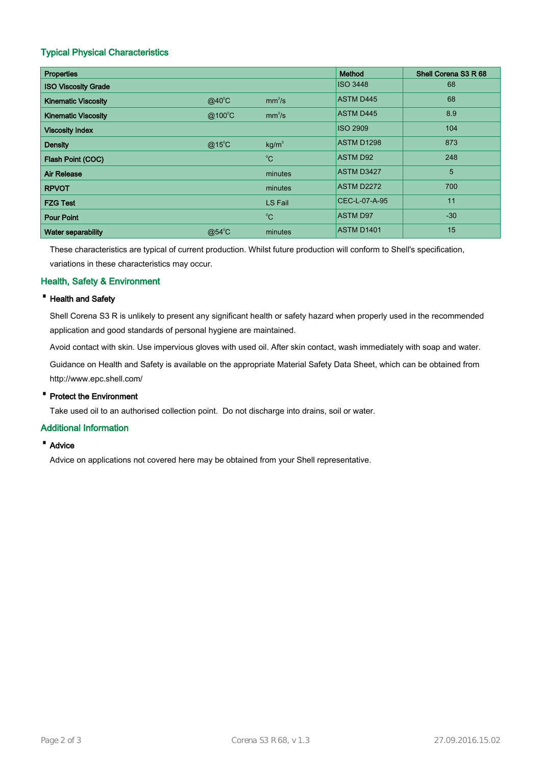# Typical Physical Characteristics

| <b>Properties</b>          |                 |                    | Method            | Shell Corena S3 R 68 |
|----------------------------|-----------------|--------------------|-------------------|----------------------|
| <b>ISO Viscosity Grade</b> |                 |                    | <b>ISO 3448</b>   | 68                   |
| <b>Kinematic Viscosity</b> | $@40^{\circ}$ C | mm <sup>2</sup> /s | <b>ASTM D445</b>  | 68                   |
| <b>Kinematic Viscosity</b> | @100°C          | mm <sup>2</sup> /s | <b>ASTM D445</b>  | 8.9                  |
| <b>Viscosity Index</b>     |                 |                    | <b>ISO 2909</b>   | 104                  |
| <b>Density</b>             | $@15^{\circ}$ C | kg/m <sup>3</sup>  | <b>ASTM D1298</b> | 873                  |
| Flash Point (COC)          |                 | $^0C$              | <b>ASTM D92</b>   | 248                  |
| <b>Air Release</b>         |                 | minutes            | <b>ASTM D3427</b> | 5                    |
| <b>RPVOT</b>               |                 | minutes            | ASTM D2272        | 700                  |
| <b>FZG Test</b>            |                 | <b>LS Fail</b>     | CEC-L-07-A-95     | 11                   |
| <b>Pour Point</b>          |                 | $^{\circ}C$        | <b>ASTM D97</b>   | $-30$                |
| <b>Water separability</b>  | @54°C           | minutes            | <b>ASTM D1401</b> | 15                   |

These characteristics are typical of current production. Whilst future production will conform to Shell's specification, variations in these characteristics may occur.

## Health, Safety & Environment

## · Health and Safety

Shell Corena S3 R is unlikely to present any significant health or safety hazard when properly used in the recommended application and good standards of personal hygiene are maintained.

Avoid contact with skin. Use impervious gloves with used oil. After skin contact, wash immediately with soap and water.

Guidance on Health and Safety is available on the appropriate Material Safety Data Sheet, which can be obtained from http://www.epc.shell.com/

## · Protect the Environment

Take used oil to an authorised collection point. Do not discharge into drains, soil or water.

## Additional Information

· Advice

Advice on applications not covered here may be obtained from your Shell representative.